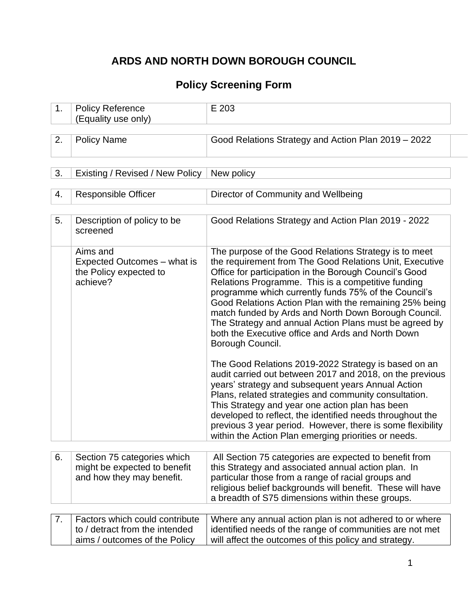# **ARDS AND NORTH DOWN BOROUGH COUNCIL**

## **Policy Screening Form**

| 1. | <b>Policy Reference</b><br>(Equality use only)                                                    | E 203                                                                                                                                                                                                                                                                                                                                                                                                                                                                                                                                                                                                                                                                                                                                                                                                                                                                                             |
|----|---------------------------------------------------------------------------------------------------|---------------------------------------------------------------------------------------------------------------------------------------------------------------------------------------------------------------------------------------------------------------------------------------------------------------------------------------------------------------------------------------------------------------------------------------------------------------------------------------------------------------------------------------------------------------------------------------------------------------------------------------------------------------------------------------------------------------------------------------------------------------------------------------------------------------------------------------------------------------------------------------------------|
| 2. | <b>Policy Name</b>                                                                                | Good Relations Strategy and Action Plan 2019 - 2022                                                                                                                                                                                                                                                                                                                                                                                                                                                                                                                                                                                                                                                                                                                                                                                                                                               |
| 3. | Existing / Revised / New Policy                                                                   | New policy                                                                                                                                                                                                                                                                                                                                                                                                                                                                                                                                                                                                                                                                                                                                                                                                                                                                                        |
|    |                                                                                                   |                                                                                                                                                                                                                                                                                                                                                                                                                                                                                                                                                                                                                                                                                                                                                                                                                                                                                                   |
| 4. | <b>Responsible Officer</b>                                                                        | Director of Community and Wellbeing                                                                                                                                                                                                                                                                                                                                                                                                                                                                                                                                                                                                                                                                                                                                                                                                                                                               |
| 5. | Description of policy to be<br>screened                                                           | Good Relations Strategy and Action Plan 2019 - 2022                                                                                                                                                                                                                                                                                                                                                                                                                                                                                                                                                                                                                                                                                                                                                                                                                                               |
|    | Aims and<br>Expected Outcomes – what is<br>the Policy expected to<br>achieve?                     | The purpose of the Good Relations Strategy is to meet<br>the requirement from The Good Relations Unit, Executive<br>Office for participation in the Borough Council's Good<br>Relations Programme. This is a competitive funding<br>programme which currently funds 75% of the Council's<br>Good Relations Action Plan with the remaining 25% being<br>match funded by Ards and North Down Borough Council.<br>The Strategy and annual Action Plans must be agreed by<br>both the Executive office and Ards and North Down<br>Borough Council.<br>The Good Relations 2019-2022 Strategy is based on an<br>audit carried out between 2017 and 2018, on the previous<br>years' strategy and subsequent years Annual Action<br>Plans, related strategies and community consultation.<br>This Strategy and year one action plan has been<br>developed to reflect, the identified needs throughout the |
|    |                                                                                                   | previous 3 year period. However, there is some flexibility<br>within the Action Plan emerging priorities or needs.                                                                                                                                                                                                                                                                                                                                                                                                                                                                                                                                                                                                                                                                                                                                                                                |
| 6. | Section 75 categories which<br>might be expected to benefit<br>and how they may benefit.          | All Section 75 categories are expected to benefit from<br>this Strategy and associated annual action plan. In<br>particular those from a range of racial groups and<br>religious belief backgrounds will benefit. These will have<br>a breadth of S75 dimensions within these groups.                                                                                                                                                                                                                                                                                                                                                                                                                                                                                                                                                                                                             |
|    |                                                                                                   |                                                                                                                                                                                                                                                                                                                                                                                                                                                                                                                                                                                                                                                                                                                                                                                                                                                                                                   |
| 7. | Factors which could contribute<br>to / detract from the intended<br>aims / outcomes of the Policy | Where any annual action plan is not adhered to or where<br>identified needs of the range of communities are not met<br>will affect the outcomes of this policy and strategy.                                                                                                                                                                                                                                                                                                                                                                                                                                                                                                                                                                                                                                                                                                                      |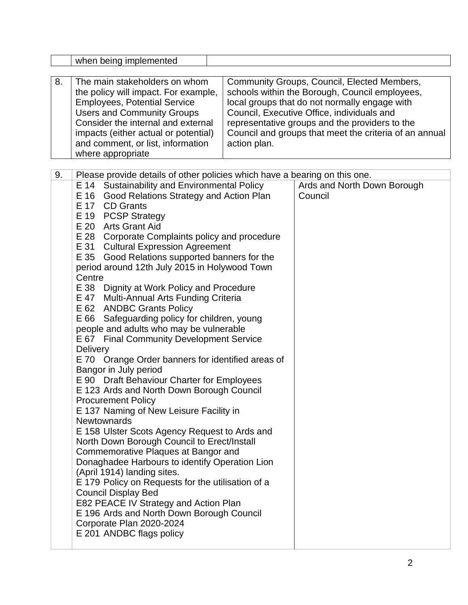|    | when being implemented                                                                                                                                                                                                                                                                                                                                                                                                                                                                                                                                                                                                                                                                                                                                                                                                                                                                                                                                                                                                                                                                                                                                                                                                                                                                                                                                                              |              |                                                                                                                                                                                                                                                                                                          |
|----|-------------------------------------------------------------------------------------------------------------------------------------------------------------------------------------------------------------------------------------------------------------------------------------------------------------------------------------------------------------------------------------------------------------------------------------------------------------------------------------------------------------------------------------------------------------------------------------------------------------------------------------------------------------------------------------------------------------------------------------------------------------------------------------------------------------------------------------------------------------------------------------------------------------------------------------------------------------------------------------------------------------------------------------------------------------------------------------------------------------------------------------------------------------------------------------------------------------------------------------------------------------------------------------------------------------------------------------------------------------------------------------|--------------|----------------------------------------------------------------------------------------------------------------------------------------------------------------------------------------------------------------------------------------------------------------------------------------------------------|
|    |                                                                                                                                                                                                                                                                                                                                                                                                                                                                                                                                                                                                                                                                                                                                                                                                                                                                                                                                                                                                                                                                                                                                                                                                                                                                                                                                                                                     |              |                                                                                                                                                                                                                                                                                                          |
| 8. | The main stakeholders on whom<br>the policy will impact. For example,<br><b>Employees, Potential Service</b><br><b>Users and Community Groups</b><br>Consider the internal and external<br>impacts (either actual or potential)<br>and comment, or list, information<br>where appropriate                                                                                                                                                                                                                                                                                                                                                                                                                                                                                                                                                                                                                                                                                                                                                                                                                                                                                                                                                                                                                                                                                           | action plan. | Community Groups, Council, Elected Members,<br>schools within the Borough, Council employees,<br>local groups that do not normally engage with<br>Council, Executive Office, individuals and<br>representative groups and the providers to the<br>Council and groups that meet the criteria of an annual |
| 9. | Please provide details of other policies which have a bearing on this one.                                                                                                                                                                                                                                                                                                                                                                                                                                                                                                                                                                                                                                                                                                                                                                                                                                                                                                                                                                                                                                                                                                                                                                                                                                                                                                          |              |                                                                                                                                                                                                                                                                                                          |
|    | E 14 Sustainability and Environmental Policy<br>E 16 Good Relations Strategy and Action Plan<br>E 17 CD Grants<br>E 19 PCSP Strategy<br>E 20<br><b>Arts Grant Aid</b><br>E 28 Corporate Complaints policy and procedure<br>E 31 Cultural Expression Agreement<br>E 35<br>Good Relations supported banners for the<br>period around 12th July 2015 in Holywood Town<br>Centre<br>E 38 Dignity at Work Policy and Procedure<br>E 47 Multi-Annual Arts Funding Criteria<br>E 62 ANDBC Grants Policy<br>E 66 Safeguarding policy for children, young<br>people and adults who may be vulnerable<br>E 67 Final Community Development Service<br><b>Delivery</b><br>E 70 Orange Order banners for identified areas of<br>Bangor in July period<br>E 90 Draft Behaviour Charter for Employees<br>E 123 Ards and North Down Borough Council<br><b>Procurement Policy</b><br>E 137 Naming of New Leisure Facility in<br>Newtownards<br>E 158 Ulster Scots Agency Request to Ards and<br>North Down Borough Council to Erect/Install<br>Commemorative Plaques at Bangor and<br>Donaghadee Harbours to identify Operation Lion<br>(April 1914) landing sites.<br>E 179 Policy on Requests for the utilisation of a<br><b>Council Display Bed</b><br>E82 PEACE IV Strategy and Action Plan<br>E 196 Ards and North Down Borough Council<br>Corporate Plan 2020-2024<br>E 201 ANDBC flags policy |              | Ards and North Down Borough<br>Council                                                                                                                                                                                                                                                                   |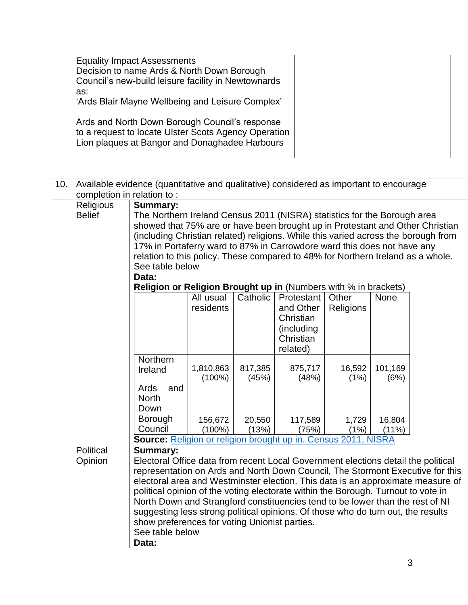| <b>Equality Impact Assessments</b><br>as: |                                                                                                                                                          |  |
|-------------------------------------------|----------------------------------------------------------------------------------------------------------------------------------------------------------|--|
|                                           | Decision to name Ards & North Down Borough<br>Council's new-build leisure facility in Newtownards                                                        |  |
|                                           | 'Ards Blair Mayne Wellbeing and Leisure Complex'                                                                                                         |  |
|                                           | Ards and North Down Borough Council's response<br>to a request to locate Ulster Scots Agency Operation<br>Lion plaques at Bangor and Donaghadee Harbours |  |

| 10. | Available evidence (quantitative and qualitative) considered as important to encourage |                                                                                    |                                                                                                                                                                    |                 |                  |                  |                    |  |  |  |  |
|-----|----------------------------------------------------------------------------------------|------------------------------------------------------------------------------------|--------------------------------------------------------------------------------------------------------------------------------------------------------------------|-----------------|------------------|------------------|--------------------|--|--|--|--|
|     | completion in relation to:                                                             |                                                                                    |                                                                                                                                                                    |                 |                  |                  |                    |  |  |  |  |
|     | Religious                                                                              | <b>Summary:</b>                                                                    |                                                                                                                                                                    |                 |                  |                  |                    |  |  |  |  |
|     | <b>Belief</b>                                                                          |                                                                                    | The Northern Ireland Census 2011 (NISRA) statistics for the Borough area                                                                                           |                 |                  |                  |                    |  |  |  |  |
|     |                                                                                        | showed that 75% are or have been brought up in Protestant and Other Christian      |                                                                                                                                                                    |                 |                  |                  |                    |  |  |  |  |
|     |                                                                                        | (including Christian related) religions. While this varied across the borough from |                                                                                                                                                                    |                 |                  |                  |                    |  |  |  |  |
|     |                                                                                        | 17% in Portaferry ward to 87% in Carrowdore ward this does not have any            |                                                                                                                                                                    |                 |                  |                  |                    |  |  |  |  |
|     |                                                                                        | relation to this policy. These compared to 48% for Northern Ireland as a whole.    |                                                                                                                                                                    |                 |                  |                  |                    |  |  |  |  |
|     |                                                                                        | See table below                                                                    |                                                                                                                                                                    |                 |                  |                  |                    |  |  |  |  |
|     |                                                                                        | Data:                                                                              |                                                                                                                                                                    |                 |                  |                  |                    |  |  |  |  |
|     |                                                                                        | Religion or Religion Brought up in (Numbers with % in brackets)                    |                                                                                                                                                                    |                 |                  |                  |                    |  |  |  |  |
|     |                                                                                        |                                                                                    | All usual                                                                                                                                                          | Catholic        | Protestant       | Other            | None               |  |  |  |  |
|     |                                                                                        |                                                                                    | residents                                                                                                                                                          |                 | and Other        | <b>Religions</b> |                    |  |  |  |  |
|     |                                                                                        |                                                                                    |                                                                                                                                                                    |                 | Christian        |                  |                    |  |  |  |  |
|     |                                                                                        |                                                                                    |                                                                                                                                                                    |                 | (including       |                  |                    |  |  |  |  |
|     |                                                                                        |                                                                                    |                                                                                                                                                                    |                 | Christian        |                  |                    |  |  |  |  |
|     |                                                                                        |                                                                                    |                                                                                                                                                                    |                 | related)         |                  |                    |  |  |  |  |
|     |                                                                                        | Northern                                                                           |                                                                                                                                                                    |                 |                  |                  |                    |  |  |  |  |
|     |                                                                                        | Ireland                                                                            | 1,810,863                                                                                                                                                          | 817,385         | 875,717          | 16,592           | 101,169            |  |  |  |  |
|     |                                                                                        |                                                                                    | $(100\%)$                                                                                                                                                          | (45%)           | (48%)            | (1%)             | (6%)               |  |  |  |  |
|     |                                                                                        | Ards<br>and<br><b>North</b>                                                        |                                                                                                                                                                    |                 |                  |                  |                    |  |  |  |  |
|     |                                                                                        | Down                                                                               |                                                                                                                                                                    |                 |                  |                  |                    |  |  |  |  |
|     |                                                                                        | <b>Borough</b>                                                                     |                                                                                                                                                                    |                 |                  |                  |                    |  |  |  |  |
|     |                                                                                        | Council                                                                            | 156,672<br>$(100\%)$                                                                                                                                               | 20,550<br>(13%) | 117,589<br>(75%) | 1,729<br>(1%)    | 16,804<br>$(11\%)$ |  |  |  |  |
|     |                                                                                        | Source: Religion or religion brought up in. Census 2011, NISRA                     |                                                                                                                                                                    |                 |                  |                  |                    |  |  |  |  |
|     | Political                                                                              | <b>Summary:</b>                                                                    |                                                                                                                                                                    |                 |                  |                  |                    |  |  |  |  |
|     | Opinion                                                                                | Electoral Office data from recent Local Government elections detail the political  |                                                                                                                                                                    |                 |                  |                  |                    |  |  |  |  |
|     |                                                                                        | representation on Ards and North Down Council, The Stormont Executive for this     |                                                                                                                                                                    |                 |                  |                  |                    |  |  |  |  |
|     |                                                                                        | electoral area and Westminster election. This data is an approximate measure of    |                                                                                                                                                                    |                 |                  |                  |                    |  |  |  |  |
|     |                                                                                        |                                                                                    |                                                                                                                                                                    |                 |                  |                  |                    |  |  |  |  |
|     |                                                                                        |                                                                                    | political opinion of the voting electorate within the Borough. Turnout to vote in<br>North Down and Strangford constituencies tend to be lower than the rest of NI |                 |                  |                  |                    |  |  |  |  |
|     |                                                                                        |                                                                                    | suggesting less strong political opinions. Of those who do turn out, the results                                                                                   |                 |                  |                  |                    |  |  |  |  |
|     |                                                                                        | show preferences for voting Unionist parties.                                      |                                                                                                                                                                    |                 |                  |                  |                    |  |  |  |  |
|     |                                                                                        | See table below                                                                    |                                                                                                                                                                    |                 |                  |                  |                    |  |  |  |  |
|     |                                                                                        | Data:                                                                              |                                                                                                                                                                    |                 |                  |                  |                    |  |  |  |  |
|     |                                                                                        |                                                                                    |                                                                                                                                                                    |                 |                  |                  |                    |  |  |  |  |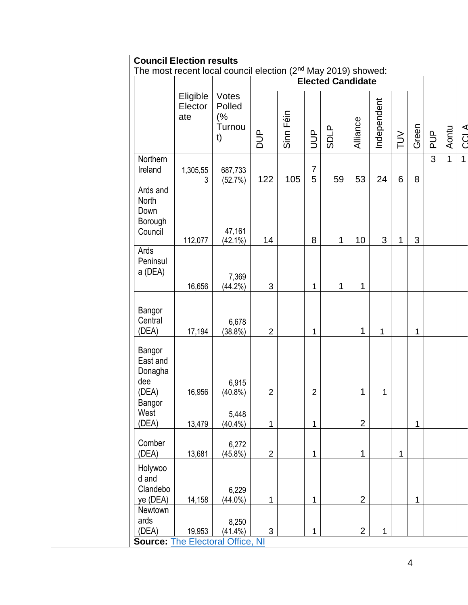| <b>Council Election results</b>                                           |                            |                                       |                |           |                     |                          |                |              |              |                  |                |              |                |
|---------------------------------------------------------------------------|----------------------------|---------------------------------------|----------------|-----------|---------------------|--------------------------|----------------|--------------|--------------|------------------|----------------|--------------|----------------|
| The most recent local council election (2 <sup>nd</sup> May 2019) showed: |                            |                                       |                |           |                     |                          |                |              |              |                  |                |              |                |
|                                                                           |                            |                                       |                |           |                     | <b>Elected Candidate</b> |                |              |              |                  |                |              |                |
|                                                                           | Eligible<br>Elector<br>ate | Votes<br>Polled<br>(%<br>Turnou<br>t) | <b>AUD</b>     | Sinn Féin | $\overline{5}$      | <b>SDLP</b>              | Alliance       | Independent  | $\geq$       | Green            | $\frac{p}{q}$  | Aontu        | <b>CCLA</b>    |
| Northern<br>Ireland                                                       | 1,305,55<br>3              | 687,733<br>(52.7%)                    | 122            | 105       | $\overline{7}$<br>5 | 59                       | 53             | 24           | 6            | $\boldsymbol{8}$ | $\overline{3}$ | $\mathbf{1}$ | $\overline{1}$ |
| Ards and<br>North<br>Down<br>Borough<br>Council                           | 112,077                    | 47,161<br>$(42.1\%)$                  | 14             |           | 8                   | 1                        | 10             | 3            | $\mathbf{1}$ | $\mathfrak{S}$   |                |              |                |
| Ards<br>Peninsul<br>a (DEA)                                               | 16,656                     | 7,369<br>$(44.2\%)$                   | 3              |           | $\mathbf{1}$        | 1                        | 1              |              |              |                  |                |              |                |
| Bangor<br>Central<br>(DEA)                                                | 17,194                     | 6,678<br>$(38.8\%)$                   | $\overline{2}$ |           | 1                   |                          | $\mathbf{1}$   | 1            |              | 1                |                |              |                |
| Bangor<br>East and<br>Donagha<br>dee<br>(DEA)                             | 16,956                     | 6,915<br>$(40.8\%)$                   | $\overline{2}$ |           | $\overline{2}$      |                          | 1              | 1            |              |                  |                |              |                |
| <b>Bangor</b><br>West<br>(DEA)                                            | 13,479                     | 5,448<br>$(40.4\%)$                   | 1              |           | 1                   |                          | $\overline{2}$ |              |              | 1                |                |              |                |
| Comber<br>(DEA)                                                           | 13,681                     | 6,272<br>$(45.8\%)$                   | $\overline{2}$ |           | 1                   |                          | 1              |              | $\mathbf 1$  |                  |                |              |                |
| Holywoo<br>d and<br>Clandebo<br>ye (DEA)                                  | 14,158                     | 6,229<br>$(44.0\%)$                   | 1              |           | 1                   |                          | $\overline{2}$ |              |              | $\mathbf{1}$     |                |              |                |
| Newtown<br>ards<br>(DEA)<br><b>Source: The Electoral Office, NI</b>       | 19,953                     | 8,250<br>$(41.4\%)$                   | $\mathfrak{B}$ |           | 1                   |                          | $\overline{2}$ | $\mathbf{1}$ |              |                  |                |              |                |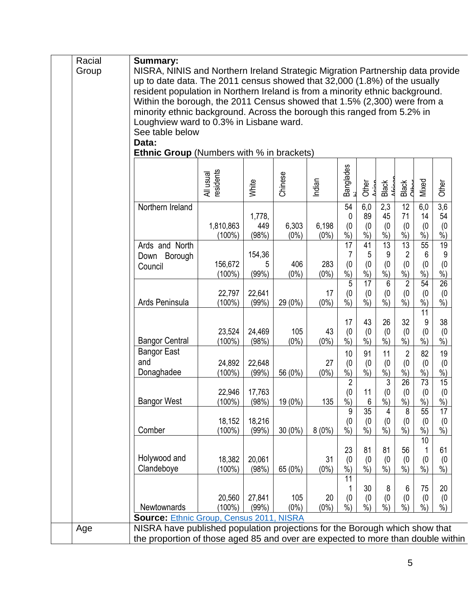| Racial<br>Group                                  | <b>Summary:</b>                                                                                                                                                                   | NISRA, NINIS and Northern Ireland Strategic Migration Partnership data provide |                        |                  |                  |                                                            |                                         |                                              |                                           |                                        |                                                     |  |
|--------------------------------------------------|-----------------------------------------------------------------------------------------------------------------------------------------------------------------------------------|--------------------------------------------------------------------------------|------------------------|------------------|------------------|------------------------------------------------------------|-----------------------------------------|----------------------------------------------|-------------------------------------------|----------------------------------------|-----------------------------------------------------|--|
|                                                  | up to date data. The 2011 census showed that 32,000 (1.8%) of the usually                                                                                                         |                                                                                |                        |                  |                  |                                                            |                                         |                                              |                                           |                                        |                                                     |  |
|                                                  | resident population in Northern Ireland is from a minority ethnic background.                                                                                                     |                                                                                |                        |                  |                  |                                                            |                                         |                                              |                                           |                                        |                                                     |  |
|                                                  | Within the borough, the 2011 Census showed that 1.5% (2,300) were from a<br>minority ethnic background. Across the borough this ranged from 5.2% in                               |                                                                                |                        |                  |                  |                                                            |                                         |                                              |                                           |                                        |                                                     |  |
|                                                  | Loughview ward to 0.3% in Lisbane ward.                                                                                                                                           |                                                                                |                        |                  |                  |                                                            |                                         |                                              |                                           |                                        |                                                     |  |
|                                                  | See table below<br>Data:                                                                                                                                                          |                                                                                |                        |                  |                  |                                                            |                                         |                                              |                                           |                                        |                                                     |  |
| <b>Ethnic Group</b> (Numbers with % in brackets) |                                                                                                                                                                                   |                                                                                |                        |                  |                  |                                                            |                                         |                                              |                                           |                                        |                                                     |  |
|                                                  |                                                                                                                                                                                   | All usual<br>residents                                                         | White                  | Chinese          | Indian           | Banglades<br>hi                                            | Other<br>تمنم                           | Black                                        | Black<br>Ctthor                           | Mixed                                  | Other                                               |  |
|                                                  | Northern Ireland                                                                                                                                                                  | 1,810,863<br>$(100\%)$                                                         | 1,778,<br>449<br>(98%) | 6,303<br>$(0\%)$ | 6,198<br>$(0\%)$ | 54<br>0<br>(0)<br>$\frac{\dot{\ }$ $\dot{\ }$              | 6,0<br>89<br>(0)<br>$%$ )               | 2,3<br>45<br>(0)<br>$\frac{9}{6}$            | 12<br>71<br>(0)<br>$\frac{9}{6}$          | 6,0<br>14<br>(0)<br>$\sqrt[6]{\cdot}$  | $\overline{3,6}$<br>54<br>(0)<br>$\frac{9}{6}$      |  |
|                                                  | Ards and North<br>Down Borough<br>Council                                                                                                                                         | 156,672<br>$(100\%)$                                                           | 154,36<br>5<br>(99%)   | 406<br>$(0\%)$   | 283<br>$(0\%)$   | 17<br>$\overline{7}$<br>(0)<br>$\frac{\dot{\ }$ $\dot{\ }$ | 41<br>5<br>(0)<br>$\sqrt[6]{\cdot}$     | $\overline{13}$<br>9<br>(0)<br>$\frac{9}{6}$ | 13<br>$\overline{2}$<br>(0)<br>$\dot{\%}$ | 55<br>6<br>(0)<br>$\sqrt[6]{\cdot}$    | 19<br>$9\,$<br>(0)<br>$\frac{9}{6}$                 |  |
|                                                  | Ards Peninsula                                                                                                                                                                    | 22,797<br>$(100\%)$                                                            | 22,641<br>(99%)        | 29 (0%)          | 17<br>$(0\%)$    | 5<br>(0)<br>$\frac{9}{6}$                                  | $\overline{17}$<br>(0)<br>$\frac{9}{6}$ | 6<br>(0)<br>$\dot{\%}$                       | $\overline{2}$<br>(0)<br>$\dot{\%}$       | 54<br>(0)<br>$\frac{9}{6}$             | $\overline{26}$<br>(0)<br>$\overline{\frac{9}{6}})$ |  |
|                                                  | <b>Bangor Central</b>                                                                                                                                                             | 23,524<br>$(100\%)$                                                            | 24,469<br>(98%)        | 105<br>$(0\%)$   | 43<br>$(0\%)$    | 17<br>(0)<br>$\frac{9}{6}$                                 | 43<br>(0)<br>$%$ )                      | 26<br>(0)<br>$\frac{9}{6}$                   | 32<br>(0)<br>$\dot{\%}$                   | 11<br>9<br>(0)<br>$\sqrt{6}$           | 38<br>(0)<br>$\frac{9}{6}$                          |  |
|                                                  | <b>Bangor East</b>                                                                                                                                                                |                                                                                |                        |                  |                  | 10                                                         | 91                                      | 11                                           | $\overline{2}$                            | 82                                     | 19                                                  |  |
|                                                  | and<br>Donaghadee                                                                                                                                                                 | 24,892<br>$(100\%)$                                                            | 22,648<br>(99%)        | 56 (0%)          | 27<br>$(0\%)$    | (0)<br>$\frac{9}{6}$                                       | (0)<br>$%$ )                            | (0)<br>$\frac{9}{6}$                         | (0)<br>%                                  | (0)<br>$\frac{9}{6}$                   | (0)<br>$%$ )                                        |  |
|                                                  | <b>Bangor West</b>                                                                                                                                                                | 22,946<br>$(100\%)$                                                            | 17,763<br>(98%)        | 19 (0%)          | 135              | $\overline{2}$<br>(0)<br>$\frac{0}{0}$                     | 11<br>$\,6$                             | $\overline{3}$<br>(0)<br>$\dot{\%}$          | 26<br>(0)<br>$\dot{\%}$                   | 73<br>(0)<br>$\overline{\frac{9}{6}})$ | 15<br>(0)<br>$\frac{0}{0}$                          |  |
|                                                  | Comber                                                                                                                                                                            | 18,152<br>$(100\%)$                                                            | 18,216<br>(99%)        | $30(0\%)$        | 8(0%)            | 9<br>(0)<br>$\dot{\gamma_0}$                               | $\overline{35}$<br>(0)<br>$\frac{9}{6}$ | 4<br>(0)<br>$\dot{\%})$                      | 8<br>(0)<br>$\dot{\%}$                    | 55<br>(0)<br>$\frac{9}{6}$             | $\overline{17}$<br>$^{(0)}_{%}$                     |  |
|                                                  | Holywood and<br>Clandeboye                                                                                                                                                        | 18,382<br>$(100\%)$                                                            | 20,061<br>(98%)        | 65 (0%)          | 31<br>$(0\%)$    | 23<br>(0)<br>$\dot{90}$                                    | 81<br>(0)<br>$\frac{9}{6}$              | 81<br>(0)<br>$\overline{\frac{9}{6}})$       | 56<br>(0)<br>$\overline{\frac{9}{6}}$     | 10<br>(0)<br>$\frac{9}{6}$             | 61<br>(0)<br>$\dot{\%}$                             |  |
|                                                  |                                                                                                                                                                                   |                                                                                |                        |                  |                  | 11                                                         | 30                                      | 8                                            | 6                                         | 75                                     | 20                                                  |  |
|                                                  | Newtownards                                                                                                                                                                       | 20,560                                                                         | 27,841                 | 105              | 20               | (0)                                                        | (0)                                     | (0)                                          | (0)                                       | (0)                                    | (0)                                                 |  |
|                                                  | $\frac{0}{0}$<br>$\frac{9}{6}$<br>$\frac{9}{6}$<br>$\frac{9}{6}$<br>$(0\%)$<br>$%$ )<br>$%$ )<br>$(100\%)$<br>(99%)<br>$(0\%)$<br><b>Source: Ethnic Group, Census 2011, NISRA</b> |                                                                                |                        |                  |                  |                                                            |                                         |                                              |                                           |                                        |                                                     |  |
| Age                                              | NISRA have published population projections for the Borough which show that                                                                                                       |                                                                                |                        |                  |                  |                                                            |                                         |                                              |                                           |                                        |                                                     |  |
|                                                  | the proportion of those aged 85 and over are expected to more than double within                                                                                                  |                                                                                |                        |                  |                  |                                                            |                                         |                                              |                                           |                                        |                                                     |  |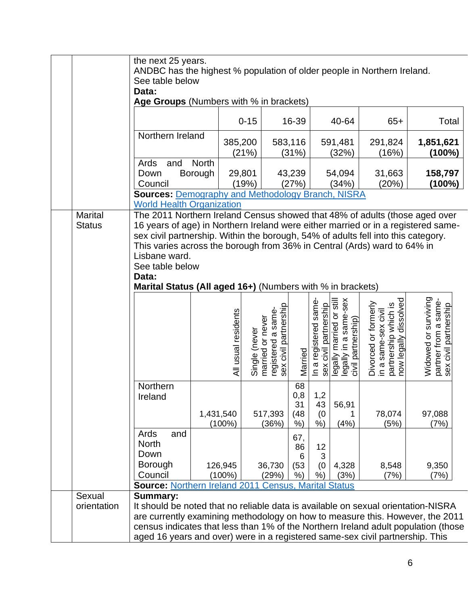|                                 | the next 25 years.<br>ANDBC has the highest % population of older people in Northern Ireland.<br>See table below<br>Data:<br>Age Groups (Numbers with % in brackets)                                                                                                                                                                                                                                                                                                             |                         |                        |                                   |                                             |                                  |                                                   |                                                                         |                                                                                              |                                                                                             |
|---------------------------------|----------------------------------------------------------------------------------------------------------------------------------------------------------------------------------------------------------------------------------------------------------------------------------------------------------------------------------------------------------------------------------------------------------------------------------------------------------------------------------|-------------------------|------------------------|-----------------------------------|---------------------------------------------|----------------------------------|---------------------------------------------------|-------------------------------------------------------------------------|----------------------------------------------------------------------------------------------|---------------------------------------------------------------------------------------------|
|                                 |                                                                                                                                                                                                                                                                                                                                                                                                                                                                                  |                         |                        | $0 - 15$                          |                                             | 16-39                            |                                                   | 40-64                                                                   | $65+$                                                                                        | Total                                                                                       |
|                                 | Northern Ireland                                                                                                                                                                                                                                                                                                                                                                                                                                                                 |                         |                        | 385,200<br>(21%)                  |                                             | 583,116<br>(31%)                 |                                                   | 591,481<br>(32%)                                                        | 291,824<br>(16%)                                                                             | 1,851,621<br>$(100\%)$                                                                      |
|                                 | Ards<br>and<br>Down<br>Council<br><b>Sources: Demography and Methodology Branch, NISRA</b>                                                                                                                                                                                                                                                                                                                                                                                       | <b>North</b><br>Borough |                        | 29,801<br>(19%)                   |                                             | 43,239<br>(27%)                  |                                                   | 54,094<br>(34%)                                                         | 31,663<br>(20%)                                                                              | 158,797<br>$(100\%)$                                                                        |
| <b>Marital</b><br><b>Status</b> | <b>World Health Organization</b><br>The 2011 Northern Ireland Census showed that 48% of adults (those aged over<br>16 years of age) in Northern Ireland were either married or in a registered same-<br>sex civil partnership. Within the borough, 54% of adults fell into this category.<br>This varies across the borough from 36% in Central (Ards) ward to 64% in<br>Lisbane ward.<br>See table below<br>Data:<br>Marital Status (All aged 16+) (Numbers with % in brackets) |                         |                        |                                   |                                             |                                  |                                                   |                                                                         |                                                                                              |                                                                                             |
|                                 |                                                                                                                                                                                                                                                                                                                                                                                                                                                                                  |                         | All usual residents    | Single (never<br>married or never | sex civil partnership<br>registered a same- | Married                          | In a registered same-<br>civil partnership<br>sex | legally married or still<br>legally in a same-sex<br>civil partnership) | partnership which is<br>now legally dissolved<br>Divorced or formerly<br>in a same-sex civil | Widowed or surviving<br>same-<br>civil partnership<br>partner from a s<br>sex civil partner |
|                                 | Northern<br>Ireland                                                                                                                                                                                                                                                                                                                                                                                                                                                              |                         | 1,431,540<br>$(100\%)$ |                                   | 517,393<br>(36%)                            | 68<br>0,8<br>31<br>(48)<br>$%$ ) | 1,2<br>43<br>(0)<br>$\frac{9}{6}$                 | 56,91<br>(4% )                                                          | 78,074<br>(5%)                                                                               | 97,088<br>(7%)                                                                              |
|                                 | Ards<br>and<br><b>North</b><br>Down<br>Borough<br>Council                                                                                                                                                                                                                                                                                                                                                                                                                        |                         | 126,945<br>$(100\%)$   |                                   | 36,730<br>(29%)                             | 67,<br>86<br>6<br>(53)<br>$%$ )  | 12<br>3<br>(0)<br>$%$ )                           | 4,328<br>(3%)                                                           | 8,548<br>(7%)                                                                                | 9,350<br>(7%)                                                                               |
| Sexual<br>orientation           | <b>Source: Northern Ireland 2011</b><br><b>Census, Marital Status</b><br><b>Summary:</b><br>It should be noted that no reliable data is available on sexual orientation-NISRA<br>are currently examining methodology on how to measure this. However, the 2011<br>census indicates that less than 1% of the Northern Ireland adult population (those<br>aged 16 years and over) were in a registered same-sex civil partnership. This                                            |                         |                        |                                   |                                             |                                  |                                                   |                                                                         |                                                                                              |                                                                                             |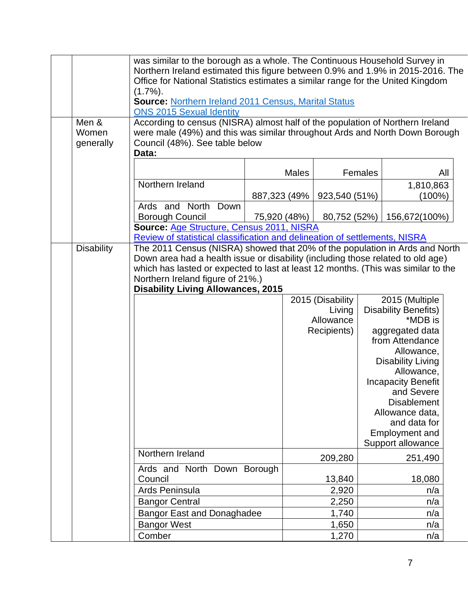|                             | was similar to the borough as a whole. The Continuous Household Survey in<br>Northern Ireland estimated this figure between 0.9% and 1.9% in 2015-2016. The<br>Office for National Statistics estimates a similar range for the United Kingdom<br>$(1.7\%)$ .<br>Source: Northern Ireland 2011 Census, Marital Status<br><b>ONS 2015 Sexual Identity</b> |              |              |                                                        |                |                                                                                                                                                                                                                                                                                                          |     |  |
|-----------------------------|----------------------------------------------------------------------------------------------------------------------------------------------------------------------------------------------------------------------------------------------------------------------------------------------------------------------------------------------------------|--------------|--------------|--------------------------------------------------------|----------------|----------------------------------------------------------------------------------------------------------------------------------------------------------------------------------------------------------------------------------------------------------------------------------------------------------|-----|--|
| Men &<br>Women<br>generally | According to census (NISRA) almost half of the population of Northern Ireland<br>were male (49%) and this was similar throughout Ards and North Down Borough<br>Council (48%). See table below<br>Data:                                                                                                                                                  |              |              |                                                        |                |                                                                                                                                                                                                                                                                                                          |     |  |
|                             |                                                                                                                                                                                                                                                                                                                                                          |              | <b>Males</b> |                                                        | <b>Females</b> |                                                                                                                                                                                                                                                                                                          | All |  |
|                             | Northern Ireland                                                                                                                                                                                                                                                                                                                                         | 887,323 (49% |              | 923,540 (51%)                                          |                | 1,810,863<br>(100%)                                                                                                                                                                                                                                                                                      |     |  |
|                             | Ards and North<br>Down<br><b>Borough Council</b>                                                                                                                                                                                                                                                                                                         |              | 75,920 (48%) | 80,752 (52%)                                           |                | 156,672(100%)                                                                                                                                                                                                                                                                                            |     |  |
|                             | Source: Age Structure, Census 2011, NISRA                                                                                                                                                                                                                                                                                                                |              |              |                                                        |                |                                                                                                                                                                                                                                                                                                          |     |  |
| <b>Disability</b>           | Review of statistical classification and delineation of settlements, NISRA<br>The 2011 Census (NISRA) showed that 20% of the population in Ards and North                                                                                                                                                                                                |              |              |                                                        |                |                                                                                                                                                                                                                                                                                                          |     |  |
|                             | Down area had a health issue or disability (including those related to old age)<br>which has lasted or expected to last at least 12 months. (This was similar to the<br>Northern Ireland figure of 21%.)<br><b>Disability Living Allowances, 2015</b>                                                                                                    |              |              | 2015 (Disability<br>Living<br>Allowance<br>Recipients) |                | 2015 (Multiple<br><b>Disability Benefits)</b><br>*MDB is<br>aggregated data<br>from Attendance<br>Allowance,<br><b>Disability Living</b><br>Allowance,<br><b>Incapacity Benefit</b><br>and Severe<br><b>Disablement</b><br>Allowance data,<br>and data for<br><b>Employment and</b><br>Support allowance |     |  |
|                             | Northern Ireland<br>Ards and North Down Borough                                                                                                                                                                                                                                                                                                          |              |              | 209,280                                                |                | 251,490                                                                                                                                                                                                                                                                                                  |     |  |
|                             | Council                                                                                                                                                                                                                                                                                                                                                  |              |              | 13,840                                                 |                | 18,080                                                                                                                                                                                                                                                                                                   |     |  |
|                             | Ards Peninsula                                                                                                                                                                                                                                                                                                                                           |              |              | 2,920                                                  |                | n/a                                                                                                                                                                                                                                                                                                      |     |  |
|                             | <b>Bangor Central</b>                                                                                                                                                                                                                                                                                                                                    |              |              | 2,250                                                  |                | n/a                                                                                                                                                                                                                                                                                                      |     |  |
|                             | <b>Bangor East and Donaghadee</b>                                                                                                                                                                                                                                                                                                                        |              |              | 1,740                                                  |                | n/a                                                                                                                                                                                                                                                                                                      |     |  |
|                             | <b>Bangor West</b>                                                                                                                                                                                                                                                                                                                                       |              |              | 1,650                                                  |                | n/a                                                                                                                                                                                                                                                                                                      |     |  |
|                             | Comber                                                                                                                                                                                                                                                                                                                                                   |              |              | 1,270                                                  |                | n/a                                                                                                                                                                                                                                                                                                      |     |  |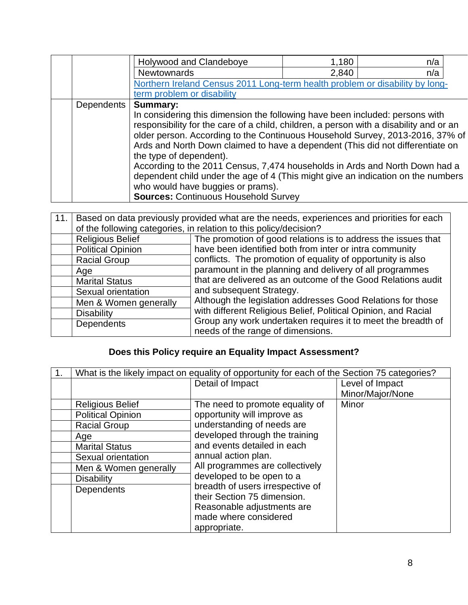|            | Holywood and Clandeboye                                                                                     | 1,180                                                                                                                                                                                                                                                                                                                                                                                                                                                                                                        | n/a |  |  |  |  |  |  |  |
|------------|-------------------------------------------------------------------------------------------------------------|--------------------------------------------------------------------------------------------------------------------------------------------------------------------------------------------------------------------------------------------------------------------------------------------------------------------------------------------------------------------------------------------------------------------------------------------------------------------------------------------------------------|-----|--|--|--|--|--|--|--|
|            | <b>Newtownards</b>                                                                                          | 2,840                                                                                                                                                                                                                                                                                                                                                                                                                                                                                                        | n/a |  |  |  |  |  |  |  |
|            | Northern Ireland Census 2011 Long-term health problem or disability by long-                                |                                                                                                                                                                                                                                                                                                                                                                                                                                                                                                              |     |  |  |  |  |  |  |  |
|            | term problem or disability                                                                                  |                                                                                                                                                                                                                                                                                                                                                                                                                                                                                                              |     |  |  |  |  |  |  |  |
| Dependents | <b>Summary:</b>                                                                                             |                                                                                                                                                                                                                                                                                                                                                                                                                                                                                                              |     |  |  |  |  |  |  |  |
|            | the type of dependent).<br>who would have buggies or prams).<br><b>Sources: Continuous Household Survey</b> | In considering this dimension the following have been included: persons with<br>responsibility for the care of a child, children, a person with a disability and or an<br>older person. According to the Continuous Household Survey, 2013-2016, 37% of<br>Ards and North Down claimed to have a dependent (This did not differentiate on<br>According to the 2011 Census, 7,474 households in Ards and North Down had a<br>dependent child under the age of 4 (This might give an indication on the numbers |     |  |  |  |  |  |  |  |

| 11. | Based on data previously provided what are the needs, experiences and priorities for each |                                                                                                                         |  |  |  |  |  |  |
|-----|-------------------------------------------------------------------------------------------|-------------------------------------------------------------------------------------------------------------------------|--|--|--|--|--|--|
|     | of the following categories, in relation to this policy/decision?                         |                                                                                                                         |  |  |  |  |  |  |
|     | <b>Religious Belief</b>                                                                   | The promotion of good relations is to address the issues that                                                           |  |  |  |  |  |  |
|     | <b>Political Opinion</b>                                                                  | have been identified both from inter or intra community                                                                 |  |  |  |  |  |  |
|     | <b>Racial Group</b>                                                                       | conflicts. The promotion of equality of opportunity is also<br>paramount in the planning and delivery of all programmes |  |  |  |  |  |  |
|     | Age                                                                                       |                                                                                                                         |  |  |  |  |  |  |
|     | <b>Marital Status</b>                                                                     | that are delivered as an outcome of the Good Relations audit                                                            |  |  |  |  |  |  |
|     | Sexual orientation                                                                        | and subsequent Strategy.                                                                                                |  |  |  |  |  |  |
|     | Men & Women generally                                                                     | Although the legislation addresses Good Relations for those                                                             |  |  |  |  |  |  |
|     | <b>Disability</b>                                                                         | with different Religious Belief, Political Opinion, and Racial                                                          |  |  |  |  |  |  |
|     | Dependents                                                                                | Group any work undertaken requires it to meet the breadth of<br>needs of the range of dimensions.                       |  |  |  |  |  |  |

## **Does this Policy require an Equality Impact Assessment?**

| 1 <sub>1</sub> |                          | What is the likely impact on equality of opportunity for each of the Section 75 categories? |                  |
|----------------|--------------------------|---------------------------------------------------------------------------------------------|------------------|
|                |                          | Detail of Impact                                                                            | Level of Impact  |
|                |                          |                                                                                             | Minor/Major/None |
|                | <b>Religious Belief</b>  | The need to promote equality of                                                             | Minor            |
|                | <b>Political Opinion</b> | opportunity will improve as                                                                 |                  |
|                | <b>Racial Group</b>      | understanding of needs are                                                                  |                  |
|                | Age                      | developed through the training                                                              |                  |
|                | <b>Marital Status</b>    | and events detailed in each                                                                 |                  |
|                | Sexual orientation       | annual action plan.                                                                         |                  |
|                | Men & Women generally    | All programmes are collectively                                                             |                  |
|                | <b>Disability</b>        | developed to be open to a                                                                   |                  |
|                | Dependents               | breadth of users irrespective of                                                            |                  |
|                |                          | their Section 75 dimension.                                                                 |                  |
|                |                          | Reasonable adjustments are                                                                  |                  |
|                |                          | made where considered                                                                       |                  |
|                |                          | appropriate.                                                                                |                  |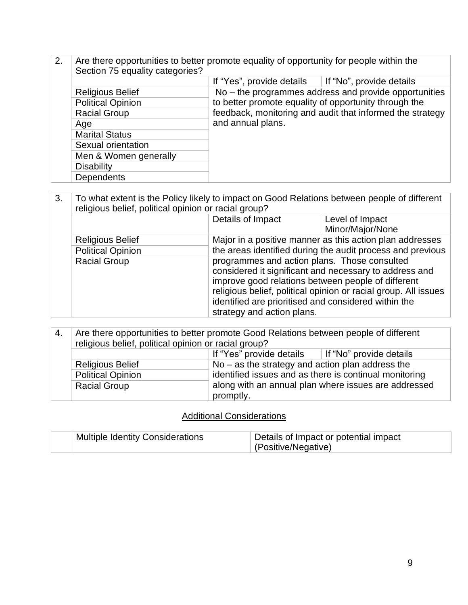2. Are there opportunities to better promote equality of opportunity for people within the Section 75 equality categories? If "Yes", provide details  $\parallel$  If "No", provide details Religious Belief No – the programmes address and provide opportunities to better promote equality of opportunity through the feedback, monitoring and audit that informed the strategy and annual plans. Political Opinion Racial Group Age Marital Status Sexual orientation Men & Women generally **Disability Dependents** 

| 3. | To what extent is the Policy likely to impact on Good Relations between people of different<br>religious belief, political opinion or racial group? |                                                                                                                                                                                          |                                                                                                                           |  |  |  |  |
|----|-----------------------------------------------------------------------------------------------------------------------------------------------------|------------------------------------------------------------------------------------------------------------------------------------------------------------------------------------------|---------------------------------------------------------------------------------------------------------------------------|--|--|--|--|
|    |                                                                                                                                                     | Details of Impact                                                                                                                                                                        | Level of Impact<br>Minor/Major/None                                                                                       |  |  |  |  |
|    | <b>Religious Belief</b>                                                                                                                             | Major in a positive manner as this action plan addresses                                                                                                                                 |                                                                                                                           |  |  |  |  |
|    | <b>Political Opinion</b>                                                                                                                            | the areas identified during the audit process and previous                                                                                                                               |                                                                                                                           |  |  |  |  |
|    | <b>Racial Group</b>                                                                                                                                 | programmes and action plans. Those consulted<br>improve good relations between people of different<br>identified are prioritised and considered within the<br>strategy and action plans. | considered it significant and necessary to address and<br>religious belief, political opinion or racial group. All issues |  |  |  |  |

| 4.        | Are there opportunities to better promote Good Relations between people of different<br>religious belief, political opinion or racial group? |                                                                                                                                                                       |  |  |
|-----------|----------------------------------------------------------------------------------------------------------------------------------------------|-----------------------------------------------------------------------------------------------------------------------------------------------------------------------|--|--|
|           |                                                                                                                                              | If "Yes" provide details $\ $ If "No" provide details<br>$No - as$ the strategy and action plan address the<br>identified issues and as there is continual monitoring |  |  |
|           | <b>Religious Belief</b>                                                                                                                      |                                                                                                                                                                       |  |  |
|           | <b>Political Opinion</b>                                                                                                                     |                                                                                                                                                                       |  |  |
|           | <b>Racial Group</b>                                                                                                                          | along with an annual plan where issues are addressed                                                                                                                  |  |  |
| promptly. |                                                                                                                                              |                                                                                                                                                                       |  |  |

#### Additional Considerations

| <b>Multiple Identity Considerations</b> | Details of Impact or potential impact |
|-----------------------------------------|---------------------------------------|
|                                         | (Positive/Negative)                   |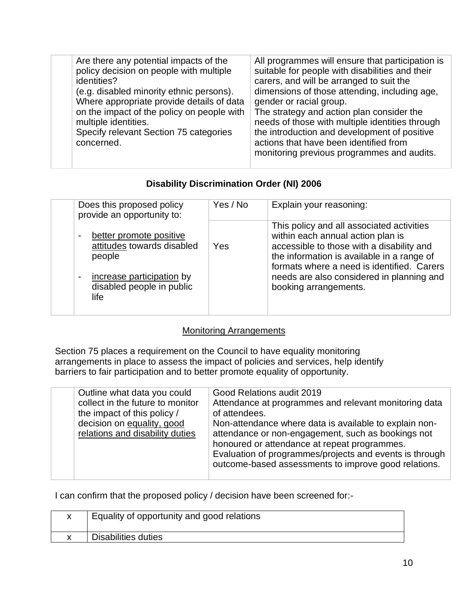| Are there any potential impacts of the<br>policy decision on people with multiple<br>identities?<br>(e.g. disabled minority ethnic persons).<br>Where appropriate provide details of data<br>on the impact of the policy on people with<br>multiple identities.<br>Specify relevant Section 75 categories<br>concerned. | All programmes will ensure that participation is<br>suitable for people with disabilities and their<br>carers, and will be arranged to suit the<br>dimensions of those attending, including age,<br>gender or racial group.<br>The strategy and action plan consider the<br>needs of those with multiple identities through<br>the introduction and development of positive<br>actions that have been identified from<br>monitoring previous programmes and audits. |
|-------------------------------------------------------------------------------------------------------------------------------------------------------------------------------------------------------------------------------------------------------------------------------------------------------------------------|---------------------------------------------------------------------------------------------------------------------------------------------------------------------------------------------------------------------------------------------------------------------------------------------------------------------------------------------------------------------------------------------------------------------------------------------------------------------|
|                                                                                                                                                                                                                                                                                                                         |                                                                                                                                                                                                                                                                                                                                                                                                                                                                     |

### **Disability Discrimination Order (NI) 2006**

| Does this proposed policy<br>provide an opportunity to:                                                                                             | Yes / No | Explain your reasoning:                                                                                                                                                                                                                                                                       |
|-----------------------------------------------------------------------------------------------------------------------------------------------------|----------|-----------------------------------------------------------------------------------------------------------------------------------------------------------------------------------------------------------------------------------------------------------------------------------------------|
| better promote positive<br>attitudes towards disabled<br>people<br>increase participation by<br>$\blacksquare$<br>disabled people in public<br>life | Yes      | This policy and all associated activities<br>within each annual action plan is<br>accessible to those with a disability and<br>the information is available in a range of<br>formats where a need is identified. Carers<br>needs are also considered in planning and<br>booking arrangements. |

### Monitoring Arrangements

Section 75 places a requirement on the Council to have equality monitoring arrangements in place to assess the impact of policies and services, help identify barriers to fair participation and to better promote equality of opportunity.

| Outline what data you could      | Good Relations audit 2019                               |
|----------------------------------|---------------------------------------------------------|
| collect in the future to monitor | Attendance at programmes and relevant monitoring data   |
| the impact of this policy /      | of attendees.                                           |
| decision on equality, good       | Non-attendance where data is available to explain non-  |
| relations and disability duties  | attendance or non-engagement, such as bookings not      |
|                                  | honoured or attendance at repeat programmes.            |
|                                  | Evaluation of programmes/projects and events is through |
|                                  | outcome-based assessments to improve good relations.    |
|                                  |                                                         |
|                                  |                                                         |

I can confirm that the proposed policy / decision have been screened for:-

| Equality of opportunity and good relations |
|--------------------------------------------|
| Disabilities duties                        |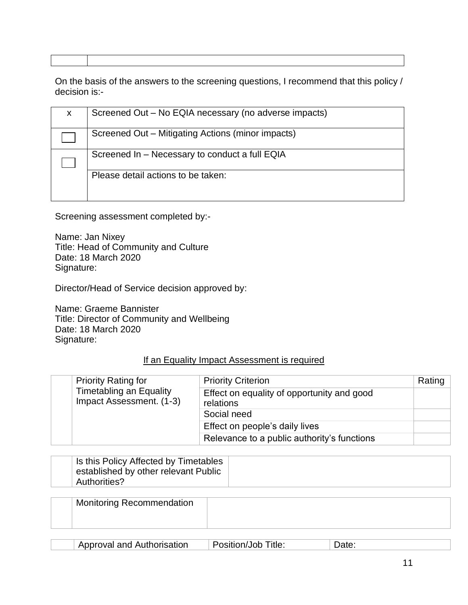| On the basis of the answers to the screening questions, I recommend that this policy / |  |  |
|----------------------------------------------------------------------------------------|--|--|
|                                                                                        |  |  |

| decision is:- |                                                       |
|---------------|-------------------------------------------------------|
| X             | Screened Out – No EQIA necessary (no adverse impacts) |
|               | Screened Out - Mitigating Actions (minor impacts)     |
|               | Screened In - Necessary to conduct a full EQIA        |
|               | Please detail actions to be taken:                    |

Screening assessment completed by:-

Τ

Name: Jan Nixey Title: Head of Community and Culture Date: 18 March 2020 Signature:

Director/Head of Service decision approved by:

Name: Graeme Bannister Title: Director of Community and Wellbeing Date: 18 March 2020 Signature:

#### If an Equality Impact Assessment is required

|                                | <b>Priority Rating for</b> | <b>Priority Criterion</b>                               | Rating |
|--------------------------------|----------------------------|---------------------------------------------------------|--------|
| <b>Timetabling an Equality</b> | Impact Assessment. (1-3)   | Effect on equality of opportunity and good<br>relations |        |
|                                |                            | Social need                                             |        |
|                                |                            | Effect on people's daily lives                          |        |
|                                |                            | Relevance to a public authority's functions             |        |

| Is this Policy Affected by Timetables<br>established by other relevant Public |  |
|-------------------------------------------------------------------------------|--|
| Authorities?                                                                  |  |

| <sup>∣</sup> Monitoring Recommendation |  |
|----------------------------------------|--|
|                                        |  |

| <b>Approval and Authorisation</b> | <sup>ਾ</sup> ^^ Title:<br>Position/Job |  |
|-----------------------------------|----------------------------------------|--|
|-----------------------------------|----------------------------------------|--|